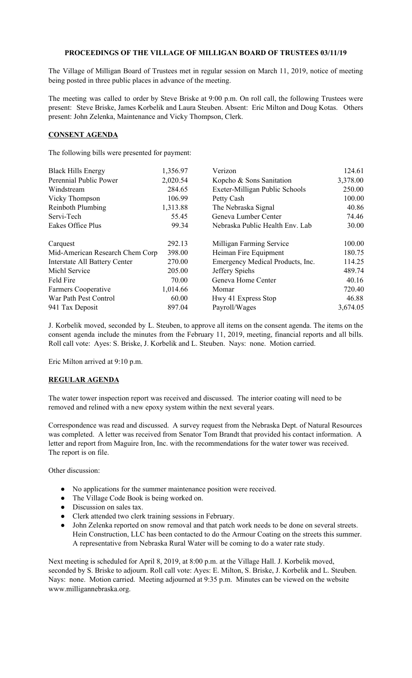## **PROCEEDINGS OF THE VILLAGE OF MILLIGAN BOARD OF TRUSTEES 03/11/19**

The Village of Milligan Board of Trustees met in regular session on March 11, 2019, notice of meeting being posted in three public places in advance of the meeting.

The meeting was called to order by Steve Briske at 9:00 p.m. On roll call, the following Trustees were present: Steve Briske, James Korbelik and Laura Steuben. Absent: Eric Milton and Doug Kotas. Others present: John Zelenka, Maintenance and Vicky Thompson, Clerk.

## **CONSENT AGENDA**

The following bills were presented for payment:

| <b>Black Hills Energy</b>            | 1,356.97 | Verizon                          | 124.61   |
|--------------------------------------|----------|----------------------------------|----------|
| Perennial Public Power               | 2,020.54 | Kopcho & Sons Sanitation         | 3,378.00 |
| Windstream                           | 284.65   | Exeter-Milligan Public Schools   | 250.00   |
| Vicky Thompson                       | 106.99   | Petty Cash                       | 100.00   |
| <b>Reinboth Plumbing</b>             | 1,313.88 | The Nebraska Signal              | 40.86    |
| Servi-Tech                           | 55.45    | Geneva Lumber Center             | 74.46    |
| Eakes Office Plus                    | 99.34    | Nebraska Public Health Env. Lab  | 30.00    |
| Carquest                             | 292.13   | Milligan Farming Service         | 100.00   |
| Mid-American Research Chem Corp      | 398.00   | Heiman Fire Equipment            | 180.75   |
| <b>Interstate All Battery Center</b> | 270.00   | Emergency Medical Products, Inc. | 114.25   |
| Michl Service                        | 205.00   | Jeffery Spiehs                   | 489.74   |
| Feld Fire                            | 70.00    | Geneva Home Center               | 40.16    |
| Farmers Cooperative                  | 1,014.66 | Momar                            | 720.40   |
| War Path Pest Control                | 60.00    | Hwy 41 Express Stop              | 46.88    |
| 941 Tax Deposit                      | 897.04   | Payroll/Wages                    | 3,674.05 |

J. Korbelik moved, seconded by L. Steuben, to approve all items on the consent agenda. The items on the consent agenda include the minutes from the February 11, 2019, meeting, financial reports and all bills. Roll call vote: Ayes: S. Briske, J. Korbelik and L. Steuben. Nays: none. Motion carried.

Eric Milton arrived at 9:10 p.m.

## **REGULAR AGENDA**

The water tower inspection report was received and discussed. The interior coating will need to be removed and relined with a new epoxy system within the next several years.

Correspondence was read and discussed. A survey request from the Nebraska Dept. of Natural Resources was completed. A letter was received from Senator Tom Brandt that provided his contact information. A letter and report from Maguire Iron, Inc. with the recommendations for the water tower was received. The report is on file.

Other discussion:

- No applications for the summer maintenance position were received.
- The Village Code Book is being worked on.
- Discussion on sales tax.
- Clerk attended two clerk training sessions in February.
- John Zelenka reported on snow removal and that patch work needs to be done on several streets. Hein Construction, LLC has been contacted to do the Armour Coating on the streets this summer. A representative from Nebraska Rural Water will be coming to do a water rate study.

Next meeting is scheduled for April 8, 2019, at 8:00 p.m. at the Village Hall. J. Korbelik moved, seconded by S. Briske to adjourn. Roll call vote: Ayes: E. Milton, S. Briske, J. Korbelik and L. Steuben. Nays: none. Motion carried. Meeting adjourned at 9:35 p.m. Minutes can be viewed on the website www.milligannebraska.org.